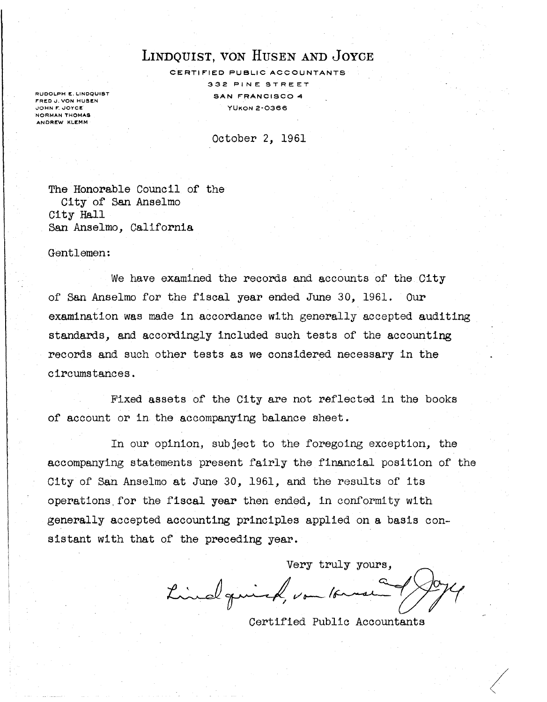# LINDQUIST, VON HUSEN AND JOYCE

CERTIFIED PUBLIC ACCOUNTANTS 332 PINE STREET SAN FRANCISCO 4 YUKON 2-0366

RUDOLPH E. LINDQUIST FRED J. VON HUSEN **JOHN F. JOYCE** NORMAN THOMAS ANDREW KLEMM

October 2, 1961

The Honorable Council of the City of San Anselmo City Hall San Anselmo, California

Gentlemen:

We have examined the records and accounts of the City of San Anselmo for the fiscal year ended June 30, 1961. Our examination was made in accordance with generally accepted auditing standards, and accordingly included such tests of the accounting records and such other tests as we considered necessary in the circumstances.

Fixed assets of the City are not reflected in the books of account or in the accompanying balance sheet.

In our opinion, subject to the foregoing exception, the accompanying statements present fairly the financial position of the City of San Anselmo at June 30, 1961, and the results of its operations,for the fiscal year then ended, in conformity with generally accepted accounting principles applied on a basis consistant with that of the preceding year.

Very truly yours, Lindquick, von 16 mai

Certified Public Accountants

 $\sqrt{\frac{2}{3}}$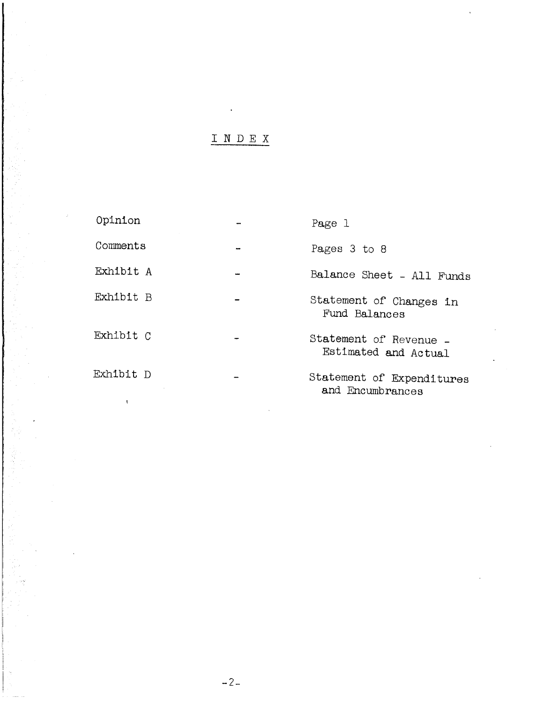# I N D E X

| Opinion   |               | Page 1                                         |
|-----------|---------------|------------------------------------------------|
| Comments  | $\rightarrow$ | Pages 3 to 8                                   |
| Exhibit A |               | Balance Sheet - All Funds                      |
| Exhibit B |               | Statement of Changes in<br>Fund Balances       |
| Exhibit C |               | Statement of Revenue -<br>Estimated and Actual |
| Exhibit D |               | Statement of Expenditures<br>and Encumbrances  |

 $\mathbf{r}$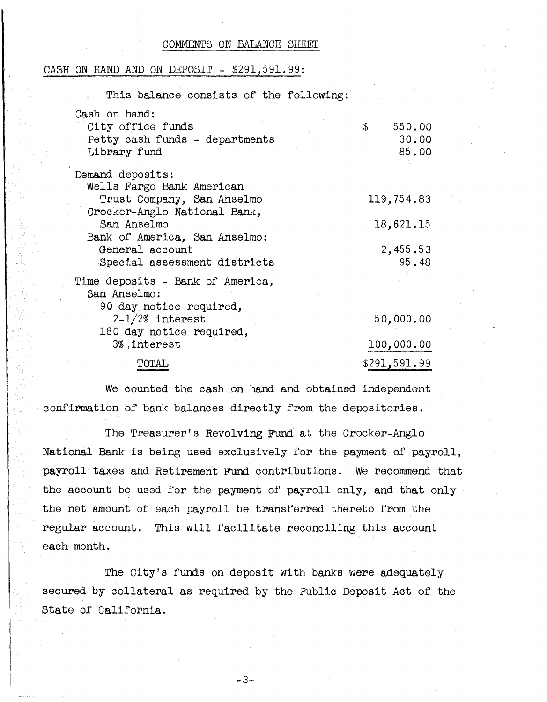#### COMMENTS ON BALANCE SHEET

### CASH ON HAND AND ON DEPOSIT - \$291,591.99:

| This balance consists of the following:                                                 |                                          |  |
|-----------------------------------------------------------------------------------------|------------------------------------------|--|
| Cash on hand:<br>City office funds<br>Petty cash funds - departments<br>Library fund    | $\mathbb{S}$<br>550.00<br>30.00<br>85.00 |  |
| Demand deposits:                                                                        |                                          |  |
| Wells Fargo Bank American<br>Trust Company, San Anselmo<br>Crocker-Anglo National Bank, | 119,754.83                               |  |
| San Anselmo                                                                             | 18,621.15                                |  |
| Bank of America, San Anselmo:<br>General account<br>Special assessment districts        | 2,455.53<br>95.48                        |  |
| Time deposits - Bank of America,<br>San Anselmo:                                        |                                          |  |
| 90 day notice required,<br>$2-1/2%$ interest<br>180 day notice required,                | 50,000.00                                |  |
| 3%, interest                                                                            | 100,000.00                               |  |
| TOTAL                                                                                   | \$291,591.99                             |  |

We counted the cash on hand and obtained independent confirmation of bank balances directly from the depositories.

The Treasurer's Revolving Fund at the Crocker-Anglo National Bank is being used exclusively for the payment of payroll, payroll taxes and Retirement Fund contributions. We recommend that the account be used for the payment of payroll only, and that only the net amount of each payroll be transferred thereto from the regular account. This will facilitate reconciling this account each month.

The City's funds on deposit with banks were adequately secured by collateral as required by the Public Deposit Act of the state of California.

-3-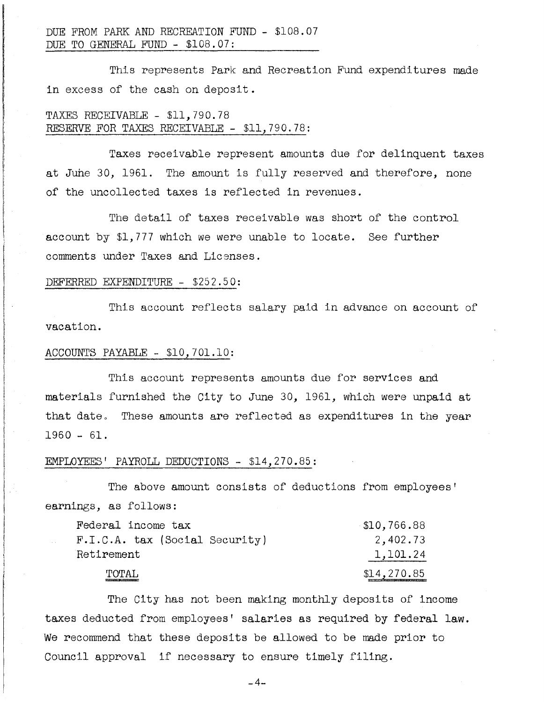This represents Park and Recreation Fund expenditures made in excess of the cash on deposit.

## TAXES RECEIVABLE - \$11,790.78 RESERVE FOR TAXES RECEIVABLE - \$11,790.78:

Taxes receivable represent amounts due for delinquent taxes at June 30, 1961. The amount is fully reserved and therefore, none of the uncollected taxes is reflected in revenues.

The detail of taxes receivable was short of the control account by \$1,777 which we were unable to locate. See further comments under Taxes and Licenses.

### DEFERRED EXPENDITURE - \$252.50:

This account reflects salary paid in advance on account of vacation.

## ACCOUNTS PAYABLE - \$10, 701.10:

This account represents amounts due for services and materials furnished the City to June 30, 1961, which were unpaid at that date. These amounts are reflected as expenditures in the year 1960 - 61.

### EMPLOYEES' PAYROLL DEDUCTIONS - \$14,270.85:

The above amount consists of deductions from employees' earnings, as follows:

| Federal income tax               | $\$10,766.88$ |
|----------------------------------|---------------|
| $F.I.C.A.$ tax (Social Security) | 2,402.73      |
| Retirement                       | 1,101.24      |
| TOTAL                            | \$14,270.85   |

The City has not been making monthly deposits of income taxes deducted from employees' salaries as required by federal law. We recommend that these deposits be allowed to be made prior to Council approval if necessary to ensure timely filing.

 $-4-$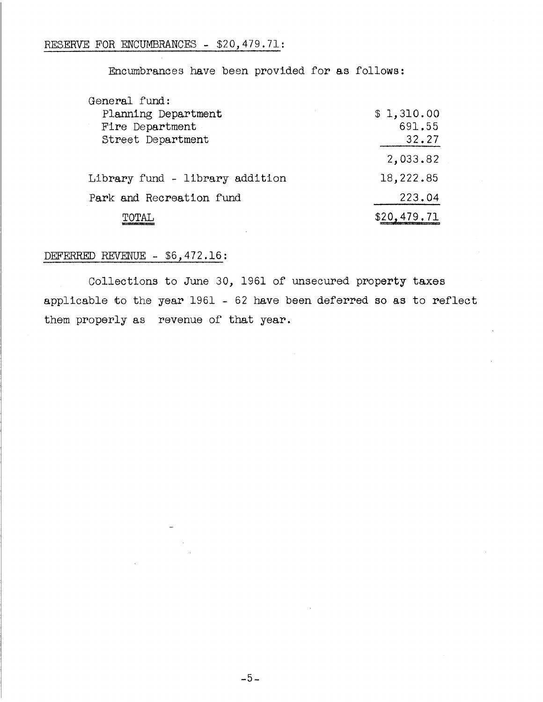## RESERVE FOR ENCUMBRANCES - \$20,479.71:

Encumbrances have been provided for as follows:

| General fund:                   |             |
|---------------------------------|-------------|
| Planning Department             | \$1,310.00  |
| Fire Department                 | 691.55      |
| Street Department               | 32.27       |
|                                 | 2,033.82    |
| Library fund - library addition | 18,222.85   |
| Park and Recreation fund        | 223.04      |
|                                 | \$20,479,71 |

## DEFERRED REVENUE - \$6,472.16:

Collections to June 30, 1961 of unsecured property taxes applicable to the year 1961 - 62 have been deferred so as to reflect them properly as revenue of that year.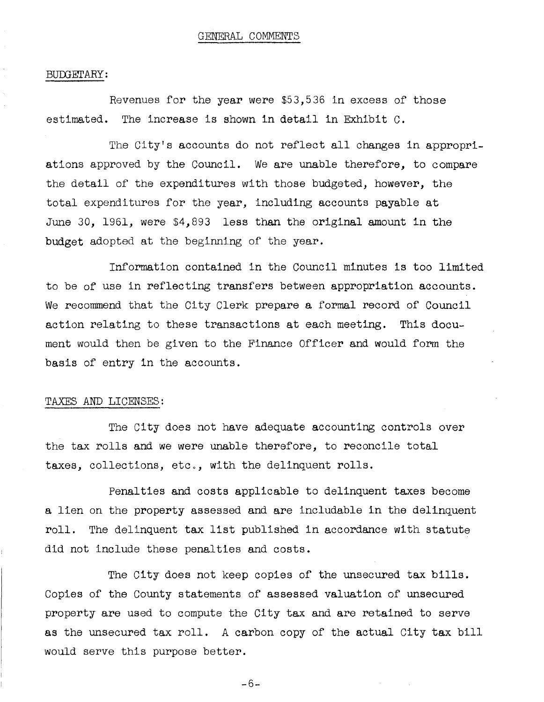### BUDGETARY:

Revenues for the year were \$53,536 in excess of those estimated. The increase is shown in detail in Exhibit C.

The City's accounts do not reflect all changes in appropriations approved by the Council. We are unable therefore, to compare the detail of the expenditures with those budgeted, however, the total expenditures for the year, including accounts payable at June 30, 1961, were \$4,893 less than the original amount in the budget adopted at the beginning of the year.

Information contained in the Council minutes is too limited to be of use in reflecting transfers between appropriation accounts. We recommend that the City Clerk prepare a formal record of Council action relating to these transactions at each meeting. This document would then be given to the Finance Officer and would form the basis of entry in the accounts.

## TAXES AND LICENSES:

The City does not have adequate accounting controls over the tax rolls and we were unable therefore, to reconcile total taxes, collections, etc., with the delinquent rolls.

Penalties and costs applicable to delinquent taxes become a lien on the property assessed and are includable in the delinquent roll. The delinquent tax list published in accordance with statute did not include these penalties and costs.

The City does not keep copies of the unsecured tax bills. Copies of the County statements of assessed valuation of unsecured property are used to compute the City tax and are retained to serve as the unsecured tax roll. A carbon copy of the actual City tax bill would serve this purpose better.

-6-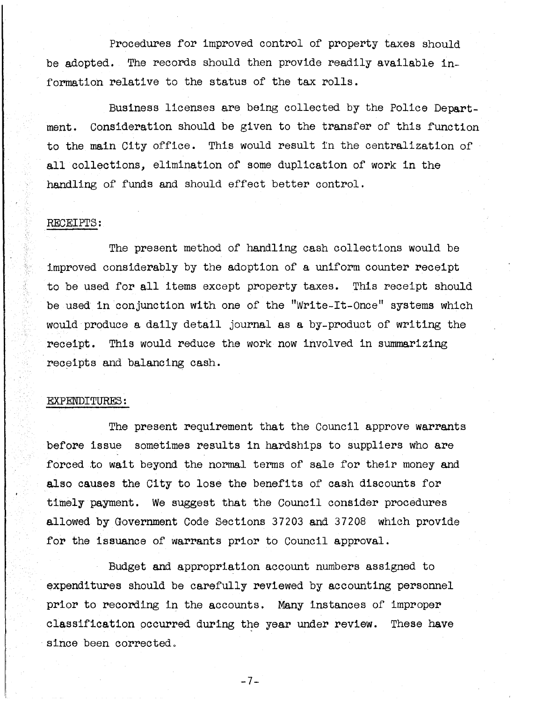Procedures for improved control of property taxes should be adopted. The records should then provide readily available information relative to the status of the tax rolls.

Business licenses are being collected by the Police Department. Consideration should be given to the transfer of this function to the main City office. This would result fn the centralization of all collections, elimination of some duplication of work in the handling of funds and should effect better control.

## RECEIPTS:

The present method of handling cash collections would be improved considerably by the adoption of a uniform counter receipt to be used for all items except property taxes. This receipt should be used in conjunction with one of the "Write-It-Once" systems which would produce a daily detail journal as a by-product of writing the receipt. This would reduce the work now involved in summarizing receipts and balancing cash.

### EXFENDITURES:

The present requirement that the Council approve warrants before issue sometimes results in hardships to suppliers who are forced to wait beyond the normal terms of sale for their money and also causes the City to lose the benefits of cash discounts for timely payment. We suggest that the Council consider procedures allowed by Government Code Sections 37203 and 37208 which provide for the issuance of warrants prior to Council approval.

Budget and appropriation account numbers assigned to expenditures should be carefully reviewed by accounting personnel prior to recording in the accounts. Many instances of improper classification occurred during the year under review. These have since been corrected.

-7-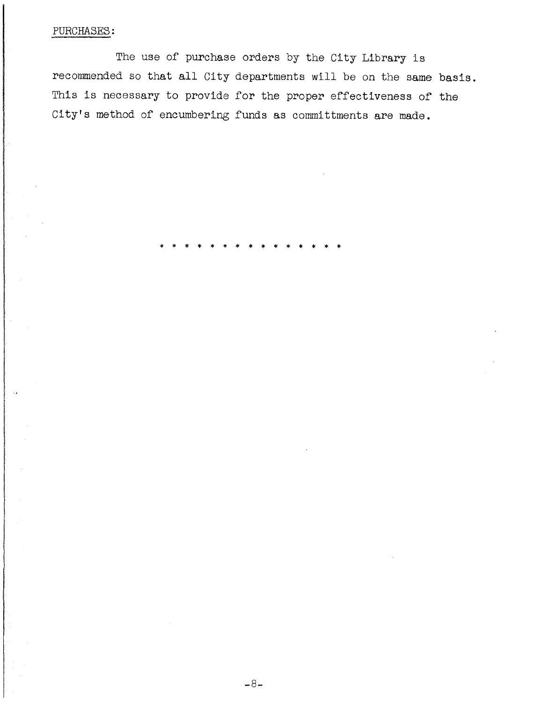## PURCHASES:

The use of purchase orders by the City Library is recommended so that all City departments will be on the same basis. This is necessary to provide for the proper effectiveness of the City's method of encumbering funds as committments are made.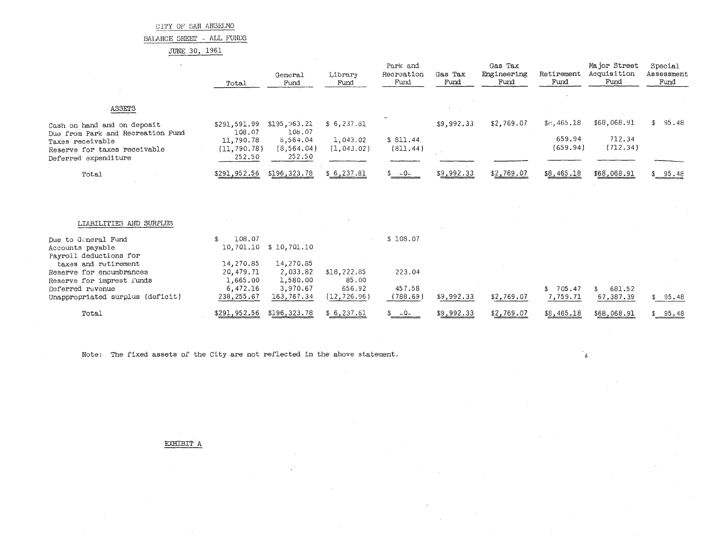BALANCE SHEET - ALL FUNDS

JUNE 30, 1961

|                                                                                                               | Total                                | General<br>Fund                   | Library<br>Fund         | Park and<br>Recreation<br>Fund | Gas Tax<br>Fund | Gas Tax<br>Engineering<br>Fund | Retirement<br>Fund | Major Street<br>Acquisition<br>Fund | Special<br>Assessment<br>Fund |
|---------------------------------------------------------------------------------------------------------------|--------------------------------------|-----------------------------------|-------------------------|--------------------------------|-----------------|--------------------------------|--------------------|-------------------------------------|-------------------------------|
| ASSETS                                                                                                        |                                      |                                   |                         |                                |                 |                                |                    |                                     |                               |
| Cash on hand and on deposit                                                                                   | \$291,591.99<br>108.07               | \$195,963.21<br>108.07            | \$6,237.81              |                                | \$9,992.33      | \$2,769.07                     | \$8, 465.18        | \$68,068.91                         | \$95.48                       |
| Due from Park and Recreation Fund<br>Taxes receivable<br>Reserve for taxes receivable<br>Deferred expenditure | 11,790.78<br>(11, 790, 78)<br>252.50 | 8,564.04<br>(8, 564.04)<br>252.50 | 1,043.02<br>(1, 043.02) | \$811.44<br>(811.44)           |                 |                                | 659.94<br>(659.94) | 712.34<br>(712.34)                  |                               |
| Total                                                                                                         | \$291,952.56                         | \$196,323.78                      | \$6, 237.81             | $$ -0-$                        | \$9,992.33      | \$2,769.07                     | \$8,465.18         | \$68,068.91                         | \$ 95.48                      |
|                                                                                                               |                                      |                                   |                         |                                |                 |                                |                    |                                     |                               |
| LIABILITIES AND SURPLUS                                                                                       |                                      |                                   |                         |                                |                 |                                |                    |                                     |                               |
| Due to General Fund                                                                                           | 108.07<br>£.                         |                                   |                         | \$108.07                       |                 |                                |                    |                                     |                               |
| Accounts payable<br>Payroll deductions for                                                                    | 10,701.10                            | \$10,701.10                       |                         |                                |                 |                                |                    |                                     |                               |
| taxes and retirement                                                                                          | 14,270.85                            | 14,270.85                         |                         |                                |                 |                                |                    |                                     |                               |
| Reserve for encumbrances                                                                                      | 20,479.71                            | 2,033.82                          | \$18,222.85             | 223.04                         |                 |                                |                    |                                     |                               |
| Reserve for imprest l'unds                                                                                    | 1,665.00                             | 1,580.00                          | 85.00                   |                                |                 |                                |                    |                                     |                               |
| Deferred revenue                                                                                              | 6,472.16                             | 3,970.67                          | 656.92                  | 457.58                         |                 |                                | \$705.47           | 681.52<br>£.                        |                               |
| Unappropriated surplus (deficit)                                                                              | 238,255.67                           | 163,767.34                        | (12, 726.96)            | (788.69)                       | \$9,992.33      | \$2,769.07                     | 7,759.71           | 67,387.39                           | \$95.48                       |
| Total                                                                                                         | \$291,952.56                         | \$196,323.78                      | \$6, 237.81             | $-0-$                          | \$9,992.33      | \$2,769.07                     | \$8,465.18         | \$68,068.91                         | \$ 95.48                      |

ំរូ

Note: The fixed assets of the City are not reflected in the above statement.

EXHIBIT A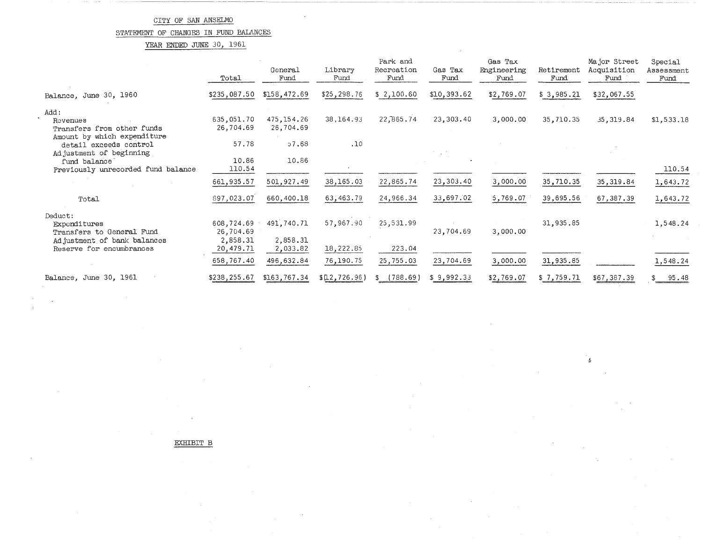## STATEMENT OF CHANGES IN FUND BALANCES

YEAR ENDED JUNE 30, 1961

|                                                                               | Total                               | General<br>Fund                    | Library<br>Fund        | Park and<br>Recreation<br>Fund | Gas Tax<br>Fund | Gas Tax<br>Engineering<br>Fund | Retirement<br>Fund | Major Street<br>Acquisition<br>Fund | Special<br>Assessment<br>Fund |
|-------------------------------------------------------------------------------|-------------------------------------|------------------------------------|------------------------|--------------------------------|-----------------|--------------------------------|--------------------|-------------------------------------|-------------------------------|
| Balance, June 30, 1960                                                        | \$235,087.50                        | \$158,472.69                       | \$25,298.76            | \$2,100.60                     | \$10,393.62     | \$2,769.07                     | \$3,985.21         | \$32,067.55                         |                               |
| Add:<br>Revenues<br>Transfers from other funds<br>Amount by which expenditure | 635,051.70<br>26,704.69             | 475, 154.26<br>26,704.69           | 38,164.93              | 22,865.74                      | 23,303.40       | 3,000.00                       | 35,710.35          | 35, 319.84                          | \$1,533.18                    |
| detail exceeds control<br>Adjustment of beginning<br>fund balance             | 57.78<br>10.86                      | 57.68<br>10.86                     | .10                    |                                |                 |                                |                    |                                     |                               |
| Previously unrecorded fund balance                                            | 110.54                              |                                    |                        |                                |                 |                                |                    |                                     | 110.54                        |
|                                                                               | 661,935.57                          | 501,927.49                         | 38,165.03              | 22,865.74                      | 23,303.40       | 3,000,00                       | 35,710.35          | 35, 319.84                          | 1,643.72                      |
| Total                                                                         | 897,023.07                          | 660,400.18                         | 63,463.79              | 24,966.34                      | 33,697.02       | 5,769.07                       | 39,695.56          | 67,387.39                           | 1,643.72                      |
| Deduct:<br>Expenditures<br>Transfers to General Fund                          | 608,724.69<br>26,704.69             | 491,740.71                         | 57,967.90              | 25,531.99                      | 23,704.69       | 3,000.00                       | 31,935.85          |                                     | 1,548.24                      |
| Adjustment of bank balances<br>Reserve for encumbrances                       | 2,858.31<br>20,479.71<br>658,767.40 | 2,858.31<br>2,033.82<br>496,632.84 | 18,222.85<br>76,190.75 | 223.04<br>25,755.03            | 23,704.69       | 3,000.00                       | 31,935.85          |                                     | 1,548.24                      |
| Balance, June 30, 1961                                                        | \$238,255.67                        | \$163,767.34                       | \$02,726.96            | (788.69)                       | \$9,992.33      | \$2,769.07                     | \$7,759.71         | \$67,387.39                         | 95.48<br>\$                   |

**·t,** 

EXHIBIT B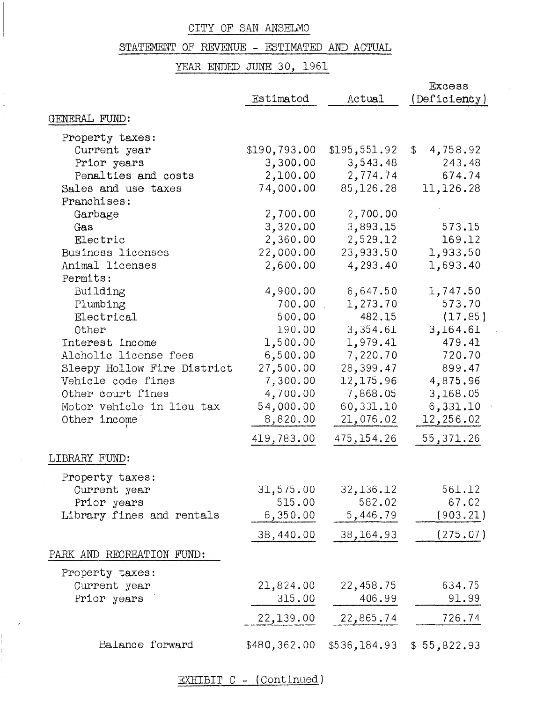# STATEMENT OF REVENUE - ESTIMATED AND ACTUAL

YEAR ENDED JUNE 30, 1961

|                                    | Estimated    | Actual                   | Excess<br>(Deficienty)              |
|------------------------------------|--------------|--------------------------|-------------------------------------|
| GENERAL FUND:                      |              |                          |                                     |
|                                    |              |                          |                                     |
| Property taxes:                    | \$190,793.00 |                          |                                     |
| Current year                       | 3,300.00     | \$195,551.92<br>3,543.48 | 4,758.92<br>$\mathcal{L}$<br>243.48 |
| Prior years<br>Penalties and costs |              |                          | 674.74                              |
| Sales and use taxes                | 2,100.00     | 2,774.74<br>85,126.28    | 11,126.28                           |
| Franchises:                        | 74,000.00    |                          |                                     |
|                                    | 2,700.00     |                          |                                     |
| Garbage<br>Gas                     |              | 2,700.00                 | 573.15                              |
|                                    | 3,320.00     | 3,893.15                 |                                     |
| Electric                           | 2,360.00     | 2,529.12                 | 169.12                              |
| <b>Business licenses</b>           | 22,000.00    | 23,933.50                | 1,933.50                            |
| Animal licenses                    | 2,600.00     | 4,293.40                 | 1,693.40                            |
| Permits:                           |              |                          |                                     |
| Building                           | 4,900.00     | 6,647.50                 | 1,747.50                            |
| Plumbing                           | 700.00       | 1,273.70                 | 573.70                              |
| Electrical                         | 500.00       | 482.15                   | (17.85)                             |
| Other                              | 190.00       | 3,354.61                 | 3,164.61                            |
| Interest income                    | 1,500.00     | 1,979.41                 | 479.41                              |
| Alcholic license fees              | 6,500.00     | 7,220.70                 | 720.70                              |
| Sleepy Hollow Fire District        | 27,500.00    | 28,399.47                | 899.47                              |
| Vehicle code fines                 | 7,300.00     | 12,175.96                | 4,875.96                            |
| Other court fines                  | 4,700.00     | 7,868.05                 | 3,168.05                            |
| Motor vehicle in lieu tax          | 54,000.00    | 60,331.10                | 6,331.10                            |
| Other income                       | 8,820.00     | 21,076.02                | 12,256.02                           |
|                                    | 419,783.00   | 475, 154.26              | 55,371.26                           |
| LIBRARY FUND:                      |              |                          |                                     |
| Property taxes:                    |              |                          |                                     |
| Current year                       | 31,575.00    | 32,136.12                | 561.12                              |
| Prior years                        | 515.00       | 582.02                   | 67.02                               |
| Library fines and rentals          | 6,350.00     | 5,446.79                 | (903.21)                            |
|                                    | 38,440.00    | 38,164.93                | (275.07)                            |
| PARK AND RECREATION FUND:          |              |                          |                                     |
|                                    |              |                          |                                     |
| Property taxes:                    |              |                          |                                     |
| Current year                       | 21,824.00    | 22,458.75                | 634.75                              |
| Prior years                        | 315.00       | 406.99                   | 91.99                               |
|                                    | 22,139.00    | 22,865.74                | 726.74                              |
| Balance forward                    | \$480,362.00 | \$536,184.93             | \$55,822.93                         |

EXHIBIT C - (Continued)

 $\sim$   $\sigma$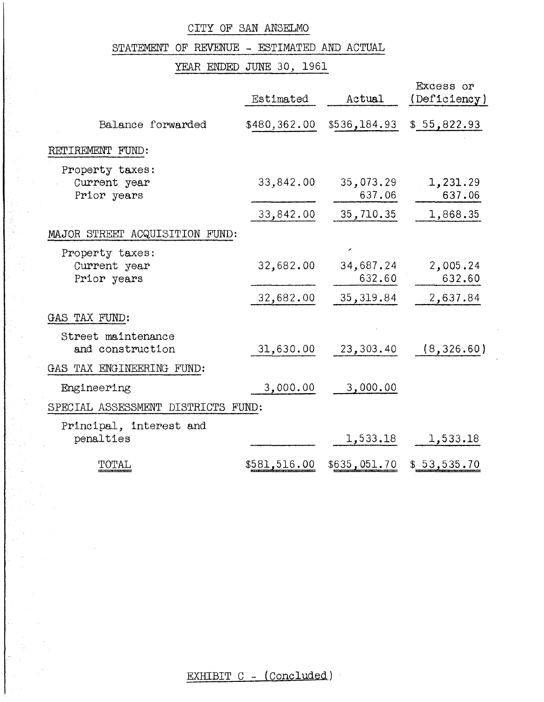# STATEMENT OF REVENUE - ESTIMATED AND ACTUAL

# YEAR ENDED JUNE 30, 1961

|                                                | Estimated    | Actual              | Excess or<br>(Deficiency) |
|------------------------------------------------|--------------|---------------------|---------------------------|
| Balance forwarded                              | \$480,362.00 | \$536,184.93        | \$55,822.93               |
| RETIREMENT FUND:                               |              |                     |                           |
| Property taxes:<br>Current year<br>Prior years | 33,842.00    | 35,073.29<br>637.06 | 1,231.29<br>637.06        |
|                                                | 33,842.00    | 35,710.35           | 1,868.35                  |
| MAJOR STREET ACQUISITION FUND:                 |              |                     |                           |
| Property taxes:<br>Current year<br>Prior years | 32,682.00    | 34,687.24<br>632.60 | 2,005.24<br>632.60        |
|                                                | 32,682.00    | 35, 319.84          | 2,637.84                  |
| GAS TAX FUND:                                  |              |                     |                           |
| Street maintenance<br>and construction         | 31,630.00    | 23,303.40           | (8, 326.60)               |
| GAS TAX ENGINEERING FUND:                      |              |                     |                           |
| Engineering                                    | 3,000.00     | 3,000.00            |                           |
| SPECIAL ASSESSMENT DISTRICTS FUND:             |              |                     |                           |
| Principal, interest and<br>penalties           |              | 1,533.18            | 1,533.18                  |
| TOTAL                                          | \$581,516.00 | \$635,051.70        | \$53,535.70               |

EXHIBIT C - (Concluded)